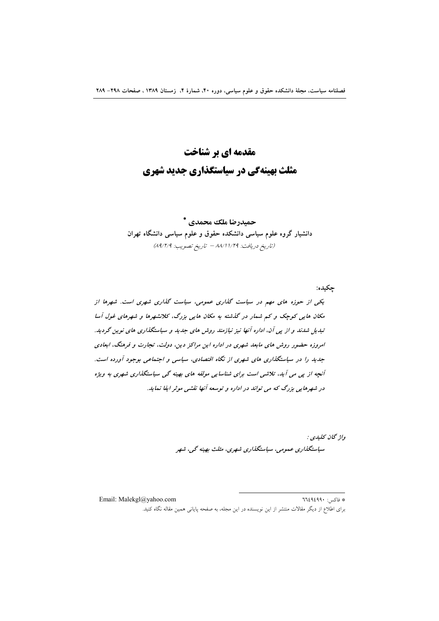# مقدمه ای بر شناخت مثلث بهینهگی در سیاستگذاری جدید شهری

حميدرضا ملك محمدي \* دانشیار گروه علوم سیاسی دانشکده حقوق و علوم سیاسی دانشگاه تهران (تاريخ دريافت: ١/٢٩/١/٨٩ - تاريخ تصويب: ٨٩/٢/٩)

چکيده: یکی از حوزه های مهم در سیاست گذاری عمومی، سیاست گذاری شهری است. شهرها از مکان هایی کوچک و کم شمار در گذشته به مکان هایی بزرگ، کلانشهرها و شهرهای غول آسا تبدیل شدند و از پی آن، اداره آنها نیز نیازمند روش های جدید و سیاستگذاری های نوین گردید. امروزه حضور روش مای مابعد شهری در اداره این مراکز دین، دولت، تجارت و فرهنگ، ابعادی جدید را در سیاستگذاری های شهری از نگاه اقتصادی، سیاسی و اجتماعی بوجود آورده است. آنچه از پی می آید، تلاشی است برای شناسایی مولفه های بهینه گی سیاستگذاری شهری به ویژه در شهرهایی بزرگ که می تواند در اداره و توسعه آنها نقشی موثر ایفا نماید.

> واژ گان کليدي : سیاستگذاری عمومی، سیاستگذاری شهری، مثلث بهینه گپی، شهر

Email: Malekgl@yahoo.com \* فاكس: ٦٦٤٩٤٩٩٠ برای اطلاع از دیگر مقالات منتشر از این نویسنده در این مجله، به صفحه پایانی همین مقاله نگاه کنید.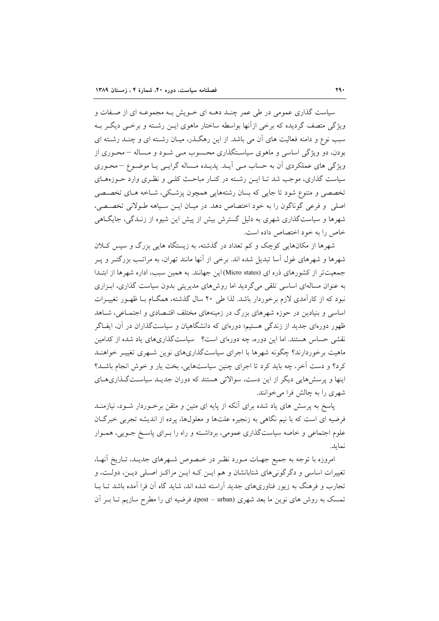سیاست گذاری عمومی در طی عمر چنـد دهــه ای خــویش بــه مجموعــه ای از صــفات و ویژگی متصف گردیده که برخی ازآنها بواسطه ساختار ماهوی ایــن رشــته و برخــی دیگــر بــه سبب نوع و دامنه فعالیت های آن می باشد. از این رهگذر، میـان رشــته ای و چنــد رشــته ای بودن، دو ویژگی اساسی و ماهوی سیاستگذاری محسوب مـی شـود و مـساله –محـوری از ویژگی های عملکردی اَن به حساب مـی اَیــد. پدیــده مــساله گرایــی یــا موضــوع –محـوری سیاست گذاری، موجب شد تـا ایــن رشـته در کنــار مباحـث کلــی و نظـری وارد حــوزههــای تخصصی و متنوع شود تا جایی که بسان رشتههایی همچون پزشکی، شـاخه هـای تخصـصی اصلي و فرعي گوناگون را به خود اختصاص دهد. در ميـان ايـن سـياهه طـولاني تخصـصي، شهرها و سیاستگذاری شهری به دلیل گسترش بیش از پیش این شیوه از زنـدگی، جایگـاهی خاص را به خود اختصاص داده است.

شهرها از مکانهایی کوچک و کم تعداد در گذشته، به زیستگاه هایی بزرگ و سپس کلان شهرها و شهرهای غول اسا تبدیل شده اند. برخی از انها مانند تهران، به مراتـب بزرگتـر و پـر جمعیتتر از کشورهای ذره ای (Micro states)این جهانند. به همین سبب، اداره شهرها از ابتدا به عنوان مسالهای اساسی تلقی میگردید اما روشهای مدیریتی بدون سیاست گذاری، اب زاری نبود که از کارآمدی لازم برخوردار باشد. لذا طی ۲۰ سال گذشته، همگــام بــا ظهــور تغییــرات اساسی و بنیادین در حوزه شهرهای بزرگ در زمینههای مختلف اقتـصادی و اجتمـاعی، شـاهد ظهور دورهای جدید از زندگی هستیم؛ دورهای که دانشگاهیان و سیاستگذاران در آن، ایفـاگر نقشی حساس هستند. اما این دوره، چه دورهای است؟ سیاستگذاریهای یاد شده از کدامین ماهیت برخوردارند؟ چگونه شهرها با اجرای سیاستگذاریهای نوین شبهری تغییر خواهنید کرد؟ و دست آخر، چه باید کرد تا اجرای چنین سیاستهایی، بخت یار و خوش انجام باشـد؟ اینها و پرسش هایی دیگر از این دست، سوالاتی هستند که دوران جدیـد سیاسـتگذاریهـای شهری را به چالش فرا می خوانند.

پاسخ به پرسش های یاد شده برای آنکه از پایه ای متین و متقن برخـوردار شـود، نیازمنــد فرضیه ای است که با نیم نگاهی به زنجیره علتها و معلولها، پرده از اندیشه تجربی خبرگان علوم اجتماعی و خاصه سیاستگذاری عمومی، برداشته و راه را بـرای پاسـخ جـویی، همـوار نمايد.

امروزه با توجه به جمیع جهـات مـورد نظـر در خـصوص شـهرهای جدیـد، تـاریخ أنهـا، تغییرات اساسی و دگر گونی های شتابانشان و هم ایــن کـه ایــن مراکــز اصــلی دیــن، دولــت، و تجارب و فرهنگ به زیور فناوریهای جدید آراسته شده اند، شاید گاه آن فرا آمده باشد تــا بــا تمسک به روش های نوین ما بعد شهری (post – urban)، فرضیه ای را مطرح سازیم تـا بـر آن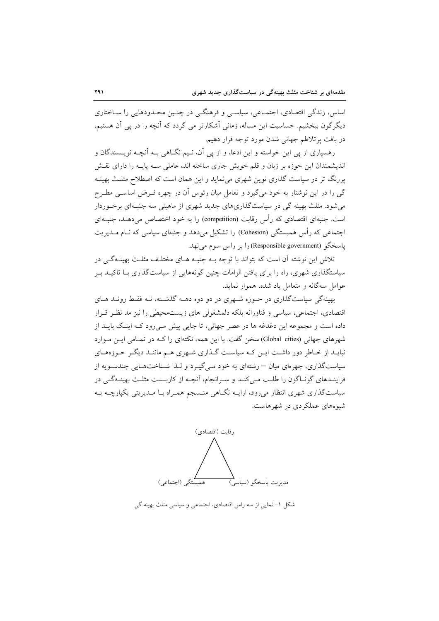اساس، زندگی اقتصادی، اجتمــاعی، سیاســی و فرهنگــی در چنــین محــدودهایی را ســاختاری دیگر گون ببخشیم. حساسیت این مساله، زمانی آشکارتر می گردد که آنچه را در پی آن هستیم، در بافت پرتلاطم جهانی شدن مورد توجه قرار دهیم.

رهسپاري از يې اين خواسته و اين ادعا، و از يې آن، نـيم نگــاهي بـه آنچــه نويــسندگان و اندیشمندان این حوزه بر زبان و قلم خویش جاری ساخته اند، عاملی سـه پایـه را دارای نقـش پررنگ تر در سیاست گذاری نوین شهری می نماید و این همان است که اصطلاح مثلـث بهینــه گی را در این نوشتار به خود می گیرد و تعامل میان رئوس آن در چهره فـرض اساسـی مطـرح می شود. مثلث بهینه گی در سیاستگذاریهای جدید شهری از ماهیتی سه جنبهای برخوردار است. جنبهای اقتصادی که رأس رقابت (competition) را به خود اختصاص میدهـد، جنبـهای اجتماعی که رأس همبستگی (Cohesion) را تشکیل میدهد و جنبهای سیاسی که نــام مــدیریت ياسخگو (Responsible government) را بر راس سوم مي نهد.

تلاش این نوشته آن است که بتواند با توجه بـه جنبـه هـای مختلـف مثلـث بهینـهگـی در سیاستگذاری شهری، راه را برای یافتن الزامات چنین گونههایی از سیاستگذاری بـا تاکیــد بــر عوامل سهگانه و متعامل یاد شده، هموار نماید.

بهینهگی سیاستگذاری در حـوزه شـهری در دو دوه دهــه گذشــته، نــه فقـط رونــد هــای اقتصادی، اجتماعی، سیاسی و فناورانه بلکه دلمشغولی های زیستمحیطی را نیز مد نظر قـرار داده است و مجموعه این دغدغه ها در عصر جهانی، تا جایی پیش مـیرود کـه اینـک بایــد از شهرهای جهانی (Global cities) سخن گفت. با این همه، نکتهای را کـه در تمـامی ایـن مـوارد نبایــد از خــاطر دور داشــت ایــن کــه سیاســت گــذاری شــهری هــم ماننــد دیگــر حــوزههــای سیاستگذاری، چهرهای میان – رشتهای به خود مـی گیـر د و لـذا شـناختهـایی چندسـویه از فراینـدهای گونـاگون را طلـب مـیکنـد و سـرانجام، آنچـه از کاربـست مثلـث بهینـهگـی در سیاستگذاری شهری انتظار میرود، ارایــه نگــاهی منــسجم همــراه بــا مــدیریتی یکپارچــه بــه شیو ههای عملکردی در شهرهاست.



شکل ۱- نمایی از سه راس اقتصادی، اجتماعی و سیاسی مثلث بهینه گی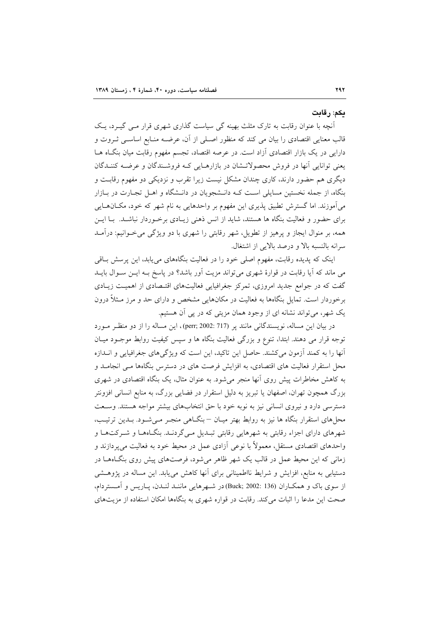#### ىكم: رقابت

آنچه با عنوان رقابت به تارک مثلث بهینه گی سیاست گذاری شهری قرار مبی گیـرد، یـک قالب معنایی اقتصادی را بیان می کند که منظور اصـلی از آن، عرضــه منـابع اساســی ثــروت و دارایی در یک بازار اقتصادی آزاد است. در عرصه اقتصاد، تجسم مفهوم رقابت میان بنگIه هــا یعنی توانایی آنها در فروش محصولاتـشان در بازارهـایی کـه فروشـندگان و عرضـه کننـدگان دیگری هم حضور دارند، کاری چندان مشکل نیست زیرا تقرب و نزدیکی دو مفهوم رقابت و بنگاه، از جمله نخستین مسایلی است کـه دانـشجویان در دانـشگاه و اهــل تجـارت در بــازار می آموزند. اما گسترش تطبیق پذیری این مفهوم بر واحدهایی به نام شهر که خود، مکـانهـایی برای حضور و فعالیت بنگاه ها هستند، شاید از انس ذهنی زیـادی برخـوردار نباشـد. بـا ایـن همه، بر منوال ایجاز و پرهیز از تطویل، شهر رقابتی را شهری با دو ویژگی می خوانیم: درآمـد سرانه بالنسبه بالا و درصد بالایی از اشتغال.

اینک که پدیده رقابت، مفهوم اصلی خود را در فعالیت بنگاههای می یابد، این پرسش باقی می ماند که آیا رقابت در قوارهٔ شهری می تواند مزیت آور باشد؟ در پاسخ بـه ایـن سـوال بایــد گفت که در جوامع جدید امروزی، تمرکز جغرافیایی فعالیتهای اقتـصادی از اهمیـت زیـادی برخوردار است. تمایل بنگاهها به فعالیت در مکانهایی مشخص و دارای حد و مرز مـثلاً درون یک شهر، می تواند نشانه ای از وجود همان مزیتی که در پی آن هستیم.

در بيان اين مساله، نويسندگاني مانند پر (perr; 2002: 717)، اين مساله را از دو منظر مورد توجه قرار می دهند. ابتدا، تنوع و بزرگی فعالیت بنگاه ها و سپس کیفیت روابط موجـود میـان آنها را به کمند آزمون میکشند. حاصل این تاکید، این است که ویژگیهای جغرافیایی و انــدازه محل استقرار فعالیت های اقتصادی، به افزایش فرصت های در دسترس بنگاهها مـی انجامـد و به کاهش مخاطرات پیش روی آنها منجر می شود. به عنوان مثال، یک بنگاه اقتصادی در شهری بزرگ همچون تهران، اصفهان یا تبریز به دلیل استقرار در فضایی بزرگ، به منابع انسانی افزونتر دسترسی دارد و نیروی انسانی نیز به نوبه خود با حق انتخابهای بیشتر مواجه هستند. وسـعت محل های استقرار بنگاه ها نیز به روابط بهتر میـان – بنگــاهی منجــر مــی شــود. بــدین ترتیــب، شهرهای دارای اجزاء رقابتی به شهرهایی رقابتی تبـدیل مـیگردنـد. بنگـاههـا و شـرکتهـا و واحدهای اقتصادی مستقل، معمولاً با نوعی آزادی عمل در محیط خود به فعالیت میپردازند و زمانی که این محیط عمل در قالب یک شهر ظاهر می شود، فرصتهای پیش روی بنگاههـا در دستیابی به منابع، افزایش و شرایط نااطمینانی برای آنها کاهش می یابد. این مساله در پژوهـشی از سوی باک و همکـاران (Buck; 2002: 136) در شـهرهایی ماننـد لنـدن، پـاریس و آمـستردام، صحت این مدعا را اثبات می کند. رقابت در قواره شهری به بنگاهها امکان استفاده از مزیتهای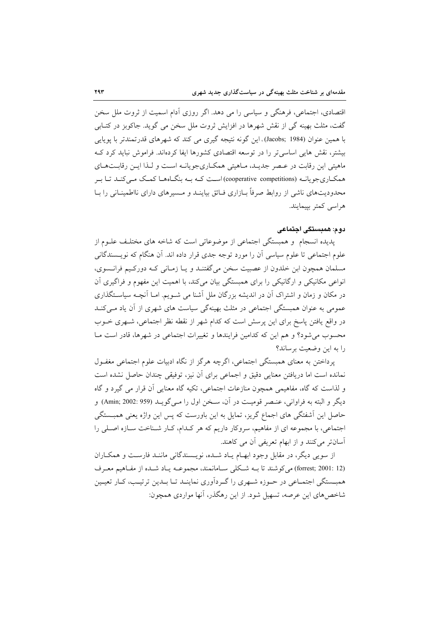اقتصادی، اجتماعی، فرهنگی و سیاسی را می دهد. اگر روزی آدام اسمیت از ثروت ملل سخن گفت، مثلث بھینه گی از نقش شھرها در افزایش ثروت ملل سخن می گوید. جاکوبز در کتـابی با همین عنوان (Jacobs; 1984)، این گونه نتیجه گیری می کند که شهرهای قدرتمندتر با پویایی بیشتر، نقش هایی اساسی تر را در توسعه اقتصادی کشورها ایفا کردهاند. فراموش نباید کرد ک ماهیتی این رقابت در عـصر جدیـد، مـاهیتی همکـاریجویانـه اسـت و لـذا ایـن رقابـتهـای همکـاریجویانـه (cooperative competitions)اسـت کـه بـه بنگـاههـا کمـک مـی کنـد تـا بـر محدودیتهای ناشی از روابط صرفاً بـازاری فــائق بیاینــد و مــسیرهای دارای نااطمینــانی را بــا هراسی کمتر بییمایند.

#### دوم: همبستگی اجتماعی

پدیده انسجام و همبستگی اجتماعی از موضوعاتی است که شاخه های مختلف علـوم از علوم اجتماعی تا علوم سیاسی آن را مورد توجه جدی قرار داده اند. آن هنگام که نویــسندگانی مسلمان همچون ابن خلدون از عصبیت سخن میگفتنـد و یـا زمـانی کـه دورکـیم فرانـسوی، انواعی مکانیکی و ارگانیکی را برای همبستگی بیان میکند، با اهمیت این مفهوم و فراگیری آن در مکان و زمان و اشتراک آن در اندیشه بزرگان ملل آشنا می شــویم. امــا آنچــه سیاســتگذاری عمومی به عنوان همبستگی اجتماعی در مثلث بهینهگی سیاست های شهری از آن یاد مـی کنــد در واقع یافتن یاسخ برای این پرسش است که کدام شهر از نقطه نظر اجتماعی، شـهری خـوب محسوب می شود؟ و هم این که کدامین فرایندها و تغییرات اجتماعی در شهرها، قادر است مـا را به این وضعیت برساند؟

یرداختن به معنای همبستگی اجتماعی، اگرچه هرگز از نگاه ادبیات علوم اجتماعی مغفـول نمانده است اما دریافتن معنایی دقیق و اجماعی برای آن نیز، توفیقی چندان حاصل نشده است و لذاست که گاه، مفاهیمی همچون منازعات اجتماعی، تکیه گاه معنایی آن قرار می گیرد و گاه ديگر و البته به فراواني، عنـصر قوميـت در آن، سـخن اول را مـيگويــد (959 :2002 Amin;) و حاصل این آشفتگی های اجماع گریز، تمایل به این باورست که پس این واژه یعنی همبــستگی اجتماعی، با مجموعه ای از مفاهیم، سروکار داریم که هر کدام، کـار شـناخت سـازه اصـلی را آسانتر میکنند و از ابهام تعریفی آن می کاهند.

از سويي ديگر، در مقابل وجود ابهـام يـاد شـده، نويـسندگاني ماننـد فارسـت و همكـاران (forrest; 2001: 12) می کوشند تا بـه شـكلی سـامانمند، مجموعـه يـاد شـده از مفـاهيم معـرف همبستگی اجتمـاعی در حـوزه شــهری را گـردآوری نماینـد تـا بـدین ترتیـــــ، کـار تعیـین شاخصهای این عرصه، تسهیل شود. از این رهگذر، آنها مواردی همچون: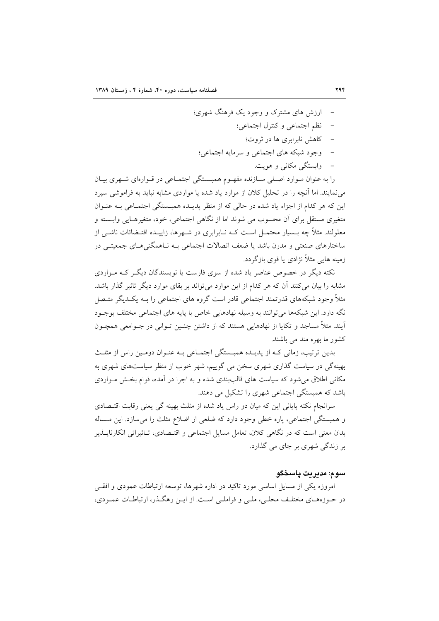- ارزش های مشترک و وجود یک فرهنگ شهری؛
	- نظم اجتماعي وكنترل اجتماعي؛
		- کاهش نابرابری ها در ثروت؛
	- وجود شبكه هاي اجتماعي و سرمايه اجتماعي؛
		- وابستگی مکانی و هویت.

را به عنوان مـوارد اصـلي سـازنده مفهـوم همبــستگي اجتمـاعي در قـوارهاي شــهري بيـان می نمایند. اما آنچه را در تحلیل کلان از موارد یاد شده یا مواردی مشابه نباید به فراموشی سیرد این که هر کدام از اجزاء یاد شده در حالی که از منظر پدیـده همبـستگی اجتمـاعی بـه عنـوان متغیری مستقل برای آن محسوب می شوند اما از نگاهی اجتماعی، خود، متغیرهـایی وابـسته و معلولند. مثلاً چه بــسیار محتمــل اســت کــه نــابرابری در شــهرها، زاییــده اقتــضائات ناشــی از ساختارهای صنعتی و مدرن باشد یا ضعف اتصالات اجتماعی بـه نـاهمگنیهـای جمعیتـی در زمینه هایی مثلاً نژادی یا قوی بازگردد.

نکته دیگر در خصوص عناصر یاد شده از سوی فارست یا نویسندگان دیگر کـه مـواردی مشابه را بیان می کنند آن که هر کدام از این موارد می تواند بر بقای موارد دیگر تاثیر گذار باشد. مثلاً وجود شبکههای قدرتمند اجتماعی قادر است گروه های اجتماعی را بـه یکـدیگر متـصل نگه دارد. این شبکهها می توانند به وسیله نهادهایی خاص با پایه های اجتماعی مختلف بوجـود آیند. مثلاً مساجد و تکایا از نهادهایی هستند که از داشتن چنـین تـوانی در جـوامعی همچـون کشور ما بھرہ مند مے پاشند.

بدین ترتیب، زمانی کـه از پدیــده همبــستگی اجتمــاعی بــه عنــوان دومــین راس از مثلــث بهینهگی در سیاست گذاری شهری سخن می گوییم، شهر خوب از منظر سیاستهای شهری به مکانی اطلاق می شود که سیاست های قالببندی شده و به اجرا در آمده، قوام بخش مواردی باشد که همبستگی اجتماعی شهری را تشکیل می دهند.

سرانجام نکته پایانی این که میان دو راس یاد شده از مثلث بهینه گی یعنی رقابت اقتـصادی و همبستگی اجتماعی، پاره خطی وجود دارد که ضلعی از اضلاع مثلث را می سازد. این مساله بدان معنی است که در نگاهی کلان. تعامل مسایل اجتماعی و اقتـصادی. تـاثیراتی انکارنایــذیر بر زندگی شهری بر جای می گذارد.

## سو م: مدير پٽ پاسخگو

امروزه یکی از مسایل اساسی مورد تاکید در اداره شهرها، توسعه ارتباطات عمودی و افقــی در حـوزههـاي مختلـف محلـي، ملـي و فراملـي اسـت. از ايـن رهگـذر، ارتباطـات عمـودي،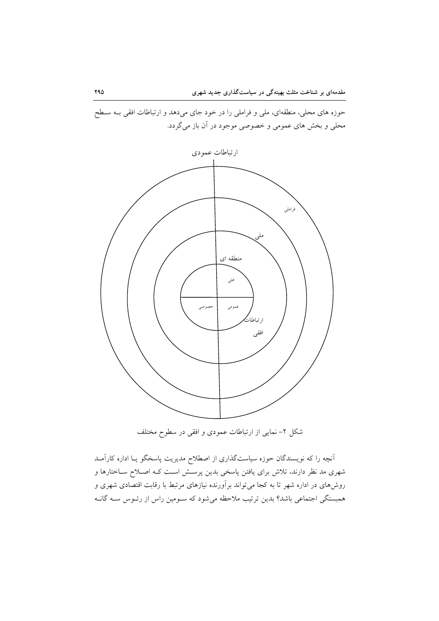حوزه های محلی، منطقهای، ملی و فراملی را در خود جای میدهد و ارتباطات افقی بـه سـطح محلی و بخش های عمومی و خصوصی موجود در آن باز میگردد.



شکل ۲- نمایی از ارتباطات عمودی و افقی در سطوح مختلف

اّنچه را که نویسندگان حوزه سیاستگذاری از اصطلاح مدیریت پاسخگو یـا اداره کاراَمــد شهری مد نظر دارند، تلاش برای یافتن پاسخی بدین پرسش است کـه اصـلاح سـاختارها و روشهای در اداره شهر تا به کجا می تواند برآورنده نیازهای مرتبط با رقابت اقتصادی شهری و همبستگی اجتماعی باشد؟ بدین ترتیب ملاحظه میشود که سـومین راس از رئـوس سـه گانـه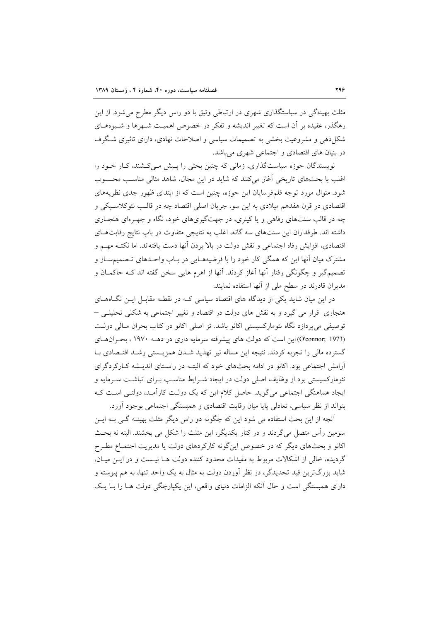مثلث بهینهگی در سیاستگذاری شهری در ارتباطی وثیق با دو راس دیگر مطرح می شود. از این رهگذر، عقیده بر آن است که تغییر اندیشه و تفکر در خصوص اهمیـت شـهرها و شـیوههـای شکا ٍدهی و مشروعیت بخشی به تصمیمات سیاسی و اصلاحات نهادی، دارای تاثیری شگرف در بنیان های اقتصادی و اجتماعی شهری می باشد.

نویسندگان حوزه سیاستگذاری، زمانی که چنین بحثی را پـیش مـیکشند، کـار خـود را اغلب با بحثهای تاریخی اَغاز میکنند که شاید در این مجال، شاهد مثالی مناسب محسوب شود. منوال مورد توجه قلمفرسایان این حوزه، چنین است که از ابتدای ظهور جدی نظریههای اقتصادی در قرن هفدهم میلادی به این سو، جریان اصلی اقتصاد چه در قالب نئوکلاسیکی و چه در قالب سنتهای رفاهی و یا کینری، در جهتگیریهای خود، نگاه و چهـرهای هنجـاری داشته اند. طرفداران این سنتهای سه گانه، اغلب به نتایجی متفاوت در باب نتایج رقابتهای اقتصادي، افزايش رفاه اجتماعي و نقش دولت در بالا بردن أنها دست يافتهاند. اما نكتـه مهــم و مشترک میان آنها این که همگی کار خود را با فرضیههـایی در بـاب واحـدهای تـصمیمسـاز و تصمیمگیر و چگونگی رفتار آنها آغاز کردند. آنها از اهرم هایی سخن گفته اند کـه حاکمــان و مدیران قادرند در سطح ملی از آنها استفاده نمایند.

در این میان شاید یکی از دیدگاه های اقتصاد سیاسی کـه در نقطـه مقابـل ایـن نگـاههـای هنجاري قرار مي گيرد و به نقش هاي دولت در اقتصاد و تغيير اجتماعي به شكلي تحليلـي – توصیفی میپردازد نگاه نئومارکسیستی اکانو باشد. تز اصلی اکانو در کتاب بحران مـالی دولـت (O'connor; 1973) این است که دولت های پیشرفته سرمایه داری در دهـ ۱۹۷۰، بحران های گسترده مالی را تجربه کردند. نتیجه این مساله نیز تهدید شـدن همزیـستی رشـد اقتـصادی بـا آرامش اجتماعی بود. اکانو در ادامه بحثهای خود که البتـه در راسـتای اندیـشه کـارکردگرای نئومارکسیستی بود از وظایف اصلی دولت در ایجاد شـرایط مناسـب بـرای انباشـت سـرمایه و ایجاد هماهنگی اجتماعی میگوید. حاصل کلام این که یک دولت کارآمـد، دولتـی اسـت کـه بتواند از نظر سیاسی، تعادلی پایا میان رقابت اقتصادی و همبستگی اجتماعی بوجود آورد.

آنچه از این بحث استفاده می شود این که چگونه دو راس دیگر مثلث بهینـه گـی بـه ایـن سومین رأس متصل میگردند و در کنار یکدیگر، این مثلث را شکل می بخشند. البته نه بحث اکانو و بحثهای دیگر که در خصوص اینگونه کارکردهای دولت یا مدیریت اجتمـاع مطـرح گردیده، خالی از اشکالات مربوط به مقیدات محدود کننده دولت هـا نیـست و در ایــن میــان، شاید بزرگترین قید تحدیدگر، در نظر آوردن دولت به مثال به یک واحد تنها، به هم پیوسته و دارای همبستگی است و حال آنکه الزامات دنیای واقعی، این یکپارچگی دولت هـا را بــا یــک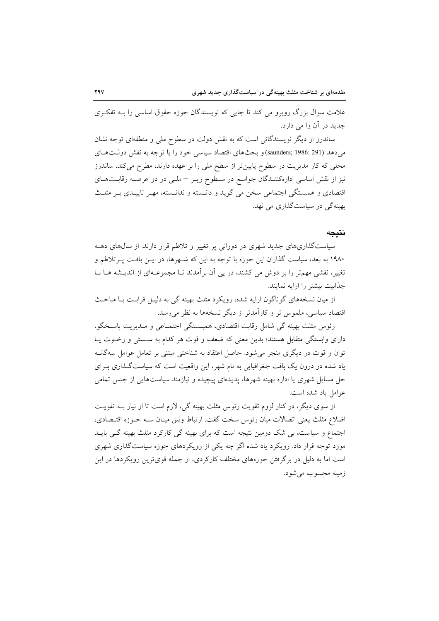علامت سوال بزرگ روبرو می کند تا جایی که نویسندگان حوزه حقوق اساسی را بـه تفکـری جدید در آن وا مے دارد.

ساندرز از دیگر نویسندگانی است که به نقش دولت در سطوح ملی و منطقهای توجه نشان می دهد (saunders; 1986: 291) و بحثهای اقتصاد سیاسی خود را با توجه به نقش دولتهای محلی که کار مدیریت در سطوح پایین تر از سطح ملی را بر عهده دارند، مطرح میکند. ساندرز نیز از نقش اساسی ادارهکننـدگان جوامـع در سـطوح زیــر –ملــی در دو عرصــه رقابــتهــای اقتصادی و همبستگی اجتماعی سخن می گوید و دانسته و ندانسته، مهـر تاییـدی بـر مثلـث بھینه گی در سیاستگذاری می نهد.

### نتىجە

سیاستگذاریهای جدید شهری در دورانی پر تغییر و تلاطم قرار دارند. از سالهای دهـه ۱۹۸۰ به بعد، سیاست گذاران این حوزه با توجه به این که شـهرها، در ایــن بافـت پــرتلاطم و تغییر، نقشی مهمتر را بر دوش می کشند، در پی آن برآمدند تـا مجموعـهای از اندیـشه هـا بـا جذابيت بيشتر را ارايه نمايند.

از میان نسخههای گوناگون ارایه شده، رویکرد مثلث بهینه گی به دلیـل قرابـت بـا مباحـث اقتصاد سیاسی، ملموس تر و کارآمدتر از دیگر نسخهها به نظر می رسد.

رئوس مثلث بهينه گي شامل رقابت اقتصادي، همبـستگي اجتمـاعي و مـديريت پاسـخگو، دارای وابستگی متقابل هستند؛ بدین معنی که ضعف و قوت هر کدام به سـستی و رخـوت یـا توان و قوت در دیگری منجر می شود. حاصل اعتقاد به شناختی مبتنی بر تعامل عوامل سهگانــه یاد شده در درون یک بافت جغرافیایی به نام شهر، این واقعیت است که سیاستگذاری بـرای حل مسایل شهری یا اداره بهینه شهرها، پدیدهای پیچیده و نیازمند سیاستهایی از جنس تمامی عوامل ياد شده است.

از سوی دیگر، در کنار لزوم تقویت رئوس مثلث بهینه گی، لازم است تا از نیاز بـه تقویـت اضلاع مثلث يعني اتصالات ميان رئوس سخت گفت. ارتباط وثيق ميـان ســه حــوزه اقتــصادي، اجتماع و سیاست، بی شک دومین نتیجه است که برای بهینه گی کارکرد مثلث بهینه گی بایـد مورد توجه قرار داد. رویکرد یاد شده اگر چه یکی از رویکردهای حوزه سیاستگذاری شهری است اما به دلیل در برگرفتن حوزههای مختلف کارکردی، از جمله قویترین رویکردها در این زمينه محسوب مي شود.